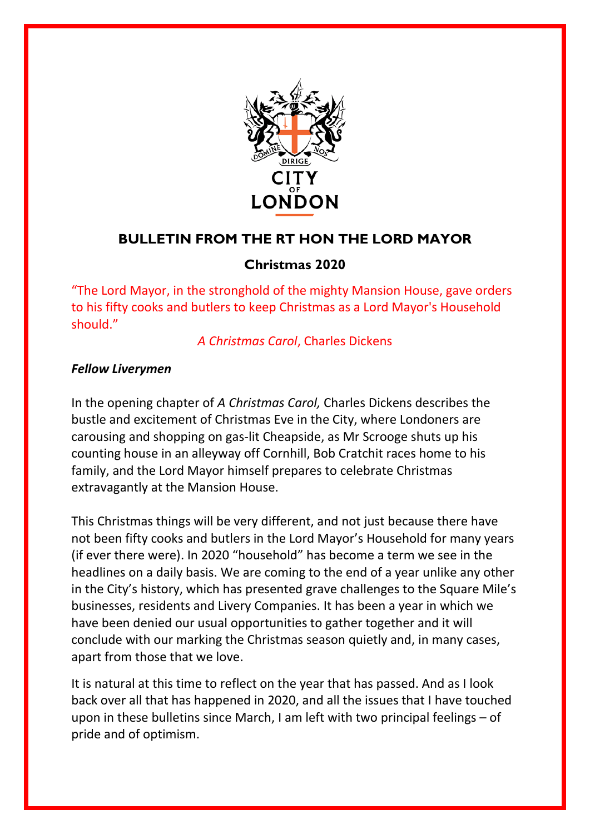

## **BULLETIN FROM THE RT HON THE LORD MAYOR**

## **Christmas 2020**

"The Lord Mayor, in the stronghold of the mighty Mansion House, gave orders to his fifty cooks and butlers to keep Christmas as a Lord Mayor's Household should."

*A Christmas Carol*, Charles Dickens

## *Fellow Liverymen*

In the opening chapter of *A Christmas Carol,* Charles Dickens describes the bustle and excitement of Christmas Eve in the City, where Londoners are carousing and shopping on gas-lit Cheapside, as Mr Scrooge shuts up his counting house in an alleyway off Cornhill, Bob Cratchit races home to his family, and the Lord Mayor himself prepares to celebrate Christmas extravagantly at the Mansion House.

This Christmas things will be very different, and not just because there have not been fifty cooks and butlers in the Lord Mayor's Household for many years (if ever there were). In 2020 "household" has become a term we see in the headlines on a daily basis. We are coming to the end of a year unlike any other in the City's history, which has presented grave challenges to the Square Mile's businesses, residents and Livery Companies. It has been a year in which we have been denied our usual opportunities to gather together and it will conclude with our marking the Christmas season quietly and, in many cases, apart from those that we love.

It is natural at this time to reflect on the year that has passed. And as I look back over all that has happened in 2020, and all the issues that I have touched upon in these bulletins since March, I am left with two principal feelings – of pride and of optimism.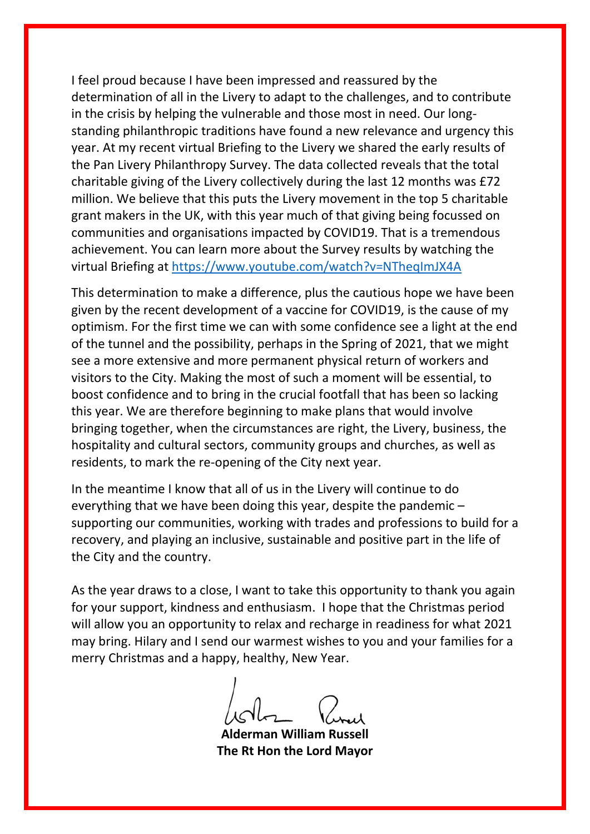I feel proud because I have been impressed and reassured by the determination of all in the Livery to adapt to the challenges, and to contribute in the crisis by helping the vulnerable and those most in need. Our longstanding philanthropic traditions have found a new relevance and urgency this year. At my recent virtual Briefing to the Livery we shared the early results of the Pan Livery Philanthropy Survey. The data collected reveals that the total charitable giving of the Livery collectively during the last 12 months was £72 million. We believe that this puts the Livery movement in the top 5 charitable grant makers in the UK, with this year much of that giving being focussed on communities and organisations impacted by COVID19. That is a tremendous achievement. You can learn more about the Survey results by watching the virtual Briefing at<https://www.youtube.com/watch?v=NTheqImJX4A>

This determination to make a difference, plus the cautious hope we have been given by the recent development of a vaccine for COVID19, is the cause of my optimism. For the first time we can with some confidence see a light at the end of the tunnel and the possibility, perhaps in the Spring of 2021, that we might see a more extensive and more permanent physical return of workers and visitors to the City. Making the most of such a moment will be essential, to boost confidence and to bring in the crucial footfall that has been so lacking this year. We are therefore beginning to make plans that would involve bringing together, when the circumstances are right, the Livery, business, the hospitality and cultural sectors, community groups and churches, as well as residents, to mark the re-opening of the City next year.

In the meantime I know that all of us in the Livery will continue to do everything that we have been doing this year, despite the pandemic – supporting our communities, working with trades and professions to build for a recovery, and playing an inclusive, sustainable and positive part in the life of the City and the country.

As the year draws to a close, I want to take this opportunity to thank you again for your support, kindness and enthusiasm. I hope that the Christmas period will allow you an opportunity to relax and recharge in readiness for what 2021 may bring. Hilary and I send our warmest wishes to you and your families for a merry Christmas and a happy, healthy, New Year.

**Alderman William Russell The Rt Hon the Lord Mayor**